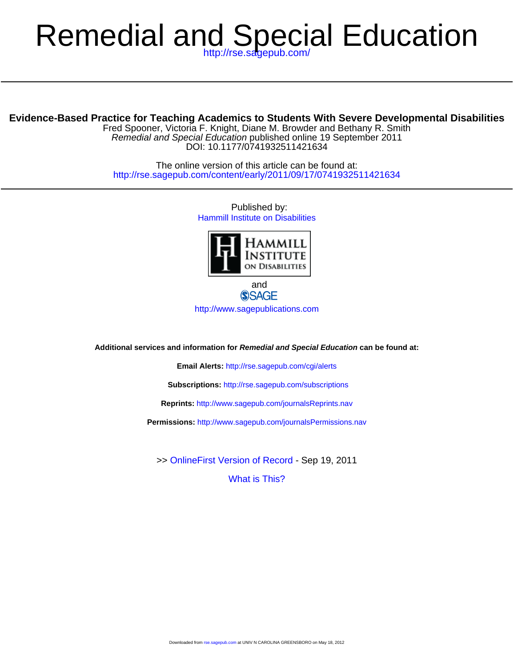# Remedial and Special Education

## **Evidence-Based Practice for Teaching Academics to Students With Severe Developmental Disabilities**

DOI: 10.1177/0741932511421634 Remedial and Special Education published online 19 September 2011 Fred Spooner, Victoria F. Knight, Diane M. Browder and Bethany R. Smith

<http://rse.sagepub.com/content/early/2011/09/17/0741932511421634> The online version of this article can be found at:

> Published by: [Hammill Institute on Disabilities](http://www.hammill-institute.org/)



and **SSAGE** <http://www.sagepublications.com>

**Additional services and information for Remedial and Special Education can be found at:**

**Email Alerts:** <http://rse.sagepub.com/cgi/alerts>

**Subscriptions:** <http://rse.sagepub.com/subscriptions>

**Reprints:** <http://www.sagepub.com/journalsReprints.nav>

**Permissions:** <http://www.sagepub.com/journalsPermissions.nav>

>> [OnlineFirst Version of Record](http://rse.sagepub.com/content/early/2011/09/17/0741932511421634.full.pdf) - Sep 19, 2011

[What is This?](http://online.sagepub.com/site/sphelp/vorhelp.xhtml)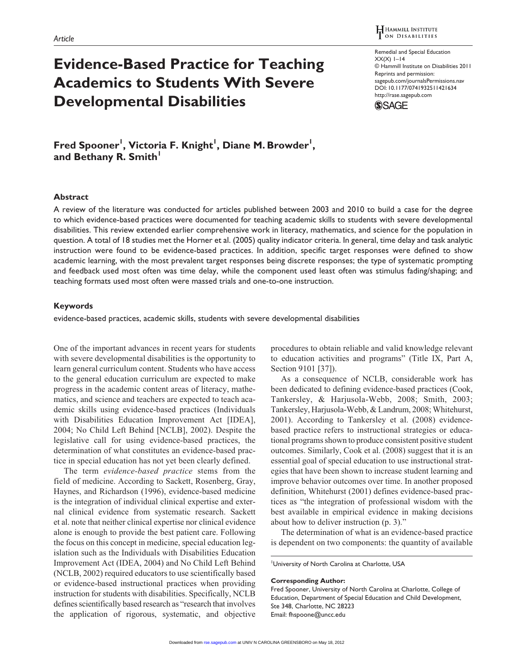## **Evidence-Based Practice for Teaching Academics to Students With Severe Developmental Disabilities**

H<br>Hammill Institute<br>On Disabilities ON DISABILITIES

Remedial and Special Education XX(X) 1–14 © Hammill Institute on Disabilities 2011 Reprints and permission: sagepub.com/journalsPermissions.nav DOI: 10.1177/0741932511421634 http://rase.sagepub.com



Fred Spooner<sup>1</sup>, Victoria F. Knight<sup>1</sup>, Diane M. Browder<sup>1</sup>, and Bethany R. Smith<sup>1</sup>

#### **Abstract**

A review of the literature was conducted for articles published between 2003 and 2010 to build a case for the degree to which evidence-based practices were documented for teaching academic skills to students with severe developmental disabilities. This review extended earlier comprehensive work in literacy, mathematics, and science for the population in question. A total of 18 studies met the Horner et al. (2005) quality indicator criteria. In general, time delay and task analytic instruction were found to be evidence-based practices. In addition, specific target responses were defined to show academic learning, with the most prevalent target responses being discrete responses; the type of systematic prompting and feedback used most often was time delay, while the component used least often was stimulus fading/shaping; and teaching formats used most often were massed trials and one-to-one instruction.

#### **Keywords**

evidence-based practices, academic skills, students with severe developmental disabilities

One of the important advances in recent years for students with severe developmental disabilities is the opportunity to learn general curriculum content. Students who have access to the general education curriculum are expected to make progress in the academic content areas of literacy, mathematics, and science and teachers are expected to teach academic skills using evidence-based practices (Individuals with Disabilities Education Improvement Act [IDEA], 2004; No Child Left Behind [NCLB], 2002). Despite the legislative call for using evidence-based practices, the determination of what constitutes an evidence-based practice in special education has not yet been clearly defined.

The term *evidence-based practice* stems from the field of medicine. According to Sackett, Rosenberg, Gray, Haynes, and Richardson (1996), evidence-based medicine is the integration of individual clinical expertise and external clinical evidence from systematic research. Sackett et al. note that neither clinical expertise nor clinical evidence alone is enough to provide the best patient care. Following the focus on this concept in medicine, special education legislation such as the Individuals with Disabilities Education Improvement Act (IDEA, 2004) and No Child Left Behind (NCLB, 2002) required educators to use scientifically based or evidence-based instructional practices when providing instruction for students with disabilities. Specifically, NCLB defines scientifically based research as "research that involves the application of rigorous, systematic, and objective

procedures to obtain reliable and valid knowledge relevant to education activities and programs" (Title IX, Part A, Section 9101 [37]).

As a consequence of NCLB, considerable work has been dedicated to defining evidence-based practices (Cook, Tankersley, & Harjusola-Webb, 2008; Smith, 2003; Tankersley, Harjusola-Webb, & Landrum, 2008; Whitehurst, 2001). According to Tankersley et al. (2008) evidencebased practice refers to instructional strategies or educational programs shown to produce consistent positive student outcomes. Similarly, Cook et al. (2008) suggest that it is an essential goal of special education to use instructional strategies that have been shown to increase student learning and improve behavior outcomes over time. In another proposed definition, Whitehurst (2001) defines evidence-based practices as "the integration of professional wisdom with the best available in empirical evidence in making decisions about how to deliver instruction (p. 3)."

The determination of what is an evidence-based practice is dependent on two components: the quantity of available

#### **Corresponding Author:**

Fred Spooner, University of North Carolina at Charlotte, College of Education, Department of Special Education and Child Development, Ste 348, Charlotte, NC 28223 Email: fhspoone@uncc.edu

University of North Carolina at Charlotte, USA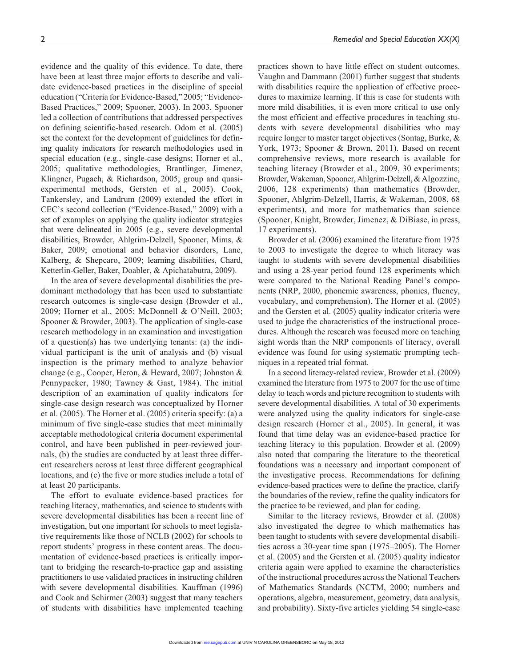evidence and the quality of this evidence. To date, there have been at least three major efforts to describe and validate evidence-based practices in the discipline of special education ("Criteria for Evidence-Based," 2005; "Evidence-Based Practices," 2009; Spooner, 2003). In 2003, Spooner led a collection of contributions that addressed perspectives on defining scientific-based research. Odom et al. (2005) set the context for the development of guidelines for defining quality indicators for research methodologies used in special education (e.g., single-case designs; Horner et al., 2005; qualitative methodologies, Brantlinger, Jimenez, Klingner, Pugach, & Richardson, 2005; group and quasiexperimental methods, Gersten et al., 2005). Cook, Tankersley, and Landrum (2009) extended the effort in CEC's second collection ("Evidence-Based," 2009) with a set of examples on applying the quality indicator strategies that were delineated in 2005 (e.g., severe developmental disabilities, Browder, Ahlgrim-Delzell, Spooner, Mims, & Baker, 2009; emotional and behavior disorders, Lane, Kalberg, & Shepcaro, 2009; learning disabilities, Chard, Ketterlin-Geller, Baker, Doabler, & Apichatabutra, 2009).

In the area of severe developmental disabilities the predominant methodology that has been used to substantiate research outcomes is single-case design (Browder et al., 2009; Horner et al., 2005; McDonnell & O'Neill, 2003; Spooner & Browder, 2003). The application of single-case research methodology in an examination and investigation of a question(s) has two underlying tenants: (a) the individual participant is the unit of analysis and (b) visual inspection is the primary method to analyze behavior change (e.g., Cooper, Heron, & Heward, 2007; Johnston & Pennypacker, 1980; Tawney & Gast, 1984). The initial description of an examination of quality indicators for single-case design research was conceptualized by Horner et al. (2005). The Horner et al. (2005) criteria specify: (a) a minimum of five single-case studies that meet minimally acceptable methodological criteria document experimental control, and have been published in peer-reviewed journals, (b) the studies are conducted by at least three different researchers across at least three different geographical locations, and (c) the five or more studies include a total of at least 20 participants.

The effort to evaluate evidence-based practices for teaching literacy, mathematics, and science to students with severe developmental disabilities has been a recent line of investigation, but one important for schools to meet legislative requirements like those of NCLB (2002) for schools to report students' progress in these content areas. The documentation of evidence-based practices is critically important to bridging the research-to-practice gap and assisting practitioners to use validated practices in instructing children with severe developmental disabilities. Kauffman (1996) and Cook and Schirmer (2003) suggest that many teachers of students with disabilities have implemented teaching

practices shown to have little effect on student outcomes. Vaughn and Dammann (2001) further suggest that students with disabilities require the application of effective procedures to maximize learning. If this is case for students with more mild disabilities, it is even more critical to use only the most efficient and effective procedures in teaching students with severe developmental disabilities who may require longer to master target objectives (Sontag, Burke, & York, 1973; Spooner & Brown, 2011). Based on recent comprehensive reviews, more research is available for teaching literacy (Browder et al., 2009, 30 experiments; Browder, Wakeman, Spooner, Ahlgrim-Delzell, & Algozzine, 2006, 128 experiments) than mathematics (Browder, Spooner, Ahlgrim-Delzell, Harris, & Wakeman, 2008, 68 experiments), and more for mathematics than science (Spooner, Knight, Browder, Jimenez, & DiBiase, in press, 17 experiments).

Browder et al. (2006) examined the literature from 1975 to 2003 to investigate the degree to which literacy was taught to students with severe developmental disabilities and using a 28-year period found 128 experiments which were compared to the National Reading Panel's components (NRP, 2000, phonemic awareness, phonics, fluency, vocabulary, and comprehension). The Horner et al. (2005) and the Gersten et al. (2005) quality indicator criteria were used to judge the characteristics of the instructional procedures. Although the research was focused more on teaching sight words than the NRP components of literacy, overall evidence was found for using systematic prompting techniques in a repeated trial format.

In a second literacy-related review, Browder et al. (2009) examined the literature from 1975 to 2007 for the use of time delay to teach words and picture recognition to students with severe developmental disabilities. A total of 30 experiments were analyzed using the quality indicators for single-case design research (Horner et al., 2005). In general, it was found that time delay was an evidence-based practice for teaching literacy to this population. Browder et al. (2009) also noted that comparing the literature to the theoretical foundations was a necessary and important component of the investigative process. Recommendations for defining evidence-based practices were to define the practice, clarify the boundaries of the review, refine the quality indicators for the practice to be reviewed, and plan for coding.

Similar to the literacy reviews, Browder et al. (2008) also investigated the degree to which mathematics has been taught to students with severe developmental disabilities across a 30-year time span (1975–2005). The Horner et al. (2005) and the Gersten et al. (2005) quality indicator criteria again were applied to examine the characteristics of the instructional procedures across the National Teachers of Mathematics Standards (NCTM, 2000; numbers and operations, algebra, measurement, geometry, data analysis, and probability). Sixty-five articles yielding 54 single-case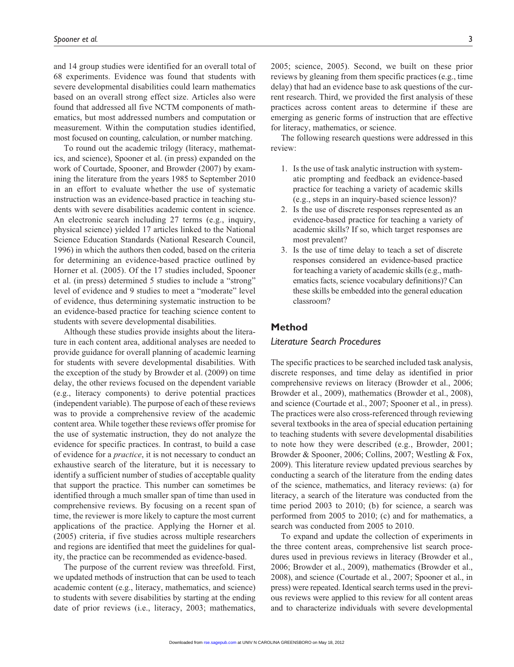and 14 group studies were identified for an overall total of 68 experiments. Evidence was found that students with severe developmental disabilities could learn mathematics based on an overall strong effect size. Articles also were found that addressed all five NCTM components of mathematics, but most addressed numbers and computation or measurement. Within the computation studies identified, most focused on counting, calculation, or number matching.

To round out the academic trilogy (literacy, mathematics, and science), Spooner et al. (in press) expanded on the work of Courtade, Spooner, and Browder (2007) by examining the literature from the years 1985 to September 2010 in an effort to evaluate whether the use of systematic instruction was an evidence-based practice in teaching students with severe disabilities academic content in science. An electronic search including 27 terms (e.g., inquiry, physical science) yielded 17 articles linked to the National Science Education Standards (National Research Council, 1996) in which the authors then coded, based on the criteria for determining an evidence-based practice outlined by Horner et al. (2005). Of the 17 studies included, Spooner et al. (in press) determined 5 studies to include a "strong" level of evidence and 9 studies to meet a "moderate" level of evidence, thus determining systematic instruction to be an evidence-based practice for teaching science content to students with severe developmental disabilities.

Although these studies provide insights about the literature in each content area, additional analyses are needed to provide guidance for overall planning of academic learning for students with severe developmental disabilities. With the exception of the study by Browder et al. (2009) on time delay, the other reviews focused on the dependent variable (e.g., literacy components) to derive potential practices (independent variable). The purpose of each of these reviews was to provide a comprehensive review of the academic content area. While together these reviews offer promise for the use of systematic instruction, they do not analyze the evidence for specific practices. In contrast, to build a case of evidence for a *practice*, it is not necessary to conduct an exhaustive search of the literature, but it is necessary to identify a sufficient number of studies of acceptable quality that support the practice. This number can sometimes be identified through a much smaller span of time than used in comprehensive reviews. By focusing on a recent span of time, the reviewer is more likely to capture the most current applications of the practice. Applying the Horner et al. (2005) criteria, if five studies across multiple researchers and regions are identified that meet the guidelines for quality, the practice can be recommended as evidence-based.

The purpose of the current review was threefold. First, we updated methods of instruction that can be used to teach academic content (e.g., literacy, mathematics, and science) to students with severe disabilities by starting at the ending date of prior reviews (i.e., literacy, 2003; mathematics,

2005; science, 2005). Second, we built on these prior reviews by gleaning from them specific practices (e.g., time delay) that had an evidence base to ask questions of the current research. Third, we provided the first analysis of these practices across content areas to determine if these are emerging as generic forms of instruction that are effective for literacy, mathematics, or science.

The following research questions were addressed in this review:

- 1. Is the use of task analytic instruction with systematic prompting and feedback an evidence-based practice for teaching a variety of academic skills (e.g., steps in an inquiry-based science lesson)?
- 2. Is the use of discrete responses represented as an evidence-based practice for teaching a variety of academic skills? If so, which target responses are most prevalent?
- 3. Is the use of time delay to teach a set of discrete responses considered an evidence-based practice for teaching a variety of academic skills (e.g., mathematics facts, science vocabulary definitions)? Can these skills be embedded into the general education classroom?

## **Method**

## *Literature Search Procedures*

The specific practices to be searched included task analysis, discrete responses, and time delay as identified in prior comprehensive reviews on literacy (Browder et al., 2006; Browder et al., 2009), mathematics (Browder et al., 2008), and science (Courtade et al., 2007; Spooner et al., in press). The practices were also cross-referenced through reviewing several textbooks in the area of special education pertaining to teaching students with severe developmental disabilities to note how they were described (e.g., Browder, 2001; Browder & Spooner, 2006; Collins, 2007; Westling & Fox, 2009). This literature review updated previous searches by conducting a search of the literature from the ending dates of the science, mathematics, and literacy reviews: (a) for literacy, a search of the literature was conducted from the time period 2003 to 2010; (b) for science, a search was performed from 2005 to 2010; (c) and for mathematics, a search was conducted from 2005 to 2010.

To expand and update the collection of experiments in the three content areas, comprehensive list search procedures used in previous reviews in literacy (Browder et al., 2006; Browder et al., 2009), mathematics (Browder et al., 2008), and science (Courtade et al., 2007; Spooner et al., in press) were repeated. Identical search terms used in the previous reviews were applied to this review for all content areas and to characterize individuals with severe developmental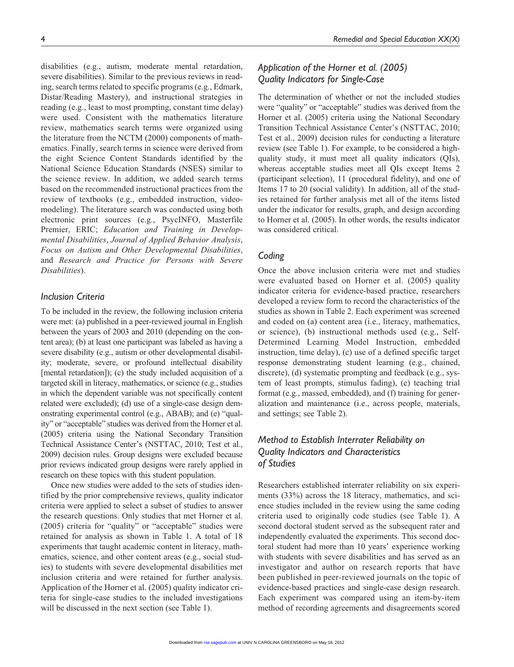disabilities (e.g., autism, moderate mental retardation, severe disabilities). Similar to the previous reviews in reading, search terms related to specific programs (e.g., Edmark, Distar/Reading Mastery), and instructional strategies in reading (e.g., least to most prompting, constant time delay) were used. Consistent with the mathematics literature review, mathematics search terms were organized using the literature from the NCTM (2000) components of mathematics. Finally, search terms in science were derived from the eight Science Content Standards identified by the National Science Education Standards (NSES) similar to the science review. In addition, we added search terms based on the recommended instructional practices from the review of textbooks (e.g., embedded instruction, videomodeling). The literature search was conducted using both electronic print sources (e.g., PsycINFO, Masterfile Premier, ERIC; *Education and Training in Developmental Disabilities*, *Journal of Applied Behavior Analysis*, *Focus on Autism and Other Developmental Disabilities*, and *Research and Practice for Persons with Severe Disabilities*).

## *Inclusion Criteria*

To be included in the review, the following inclusion criteria were met: (a) published in a peer-reviewed journal in English between the years of 2003 and 2010 (depending on the content area); (b) at least one participant was labeled as having a severe disability (e.g., autism or other developmental disability; moderate, severe, or profound intellectual disability [mental retardation]); (c) the study included acquisition of a targeted skill in literacy, mathematics, or science (e.g., studies in which the dependent variable was not specifically content related were excluded); (d) use of a single-case design demonstrating experimental control (e.g., ABAB); and (e) "quality" or "acceptable" studies was derived from the Horner et al. (2005) criteria using the National Secondary Transition Technical Assistance Center's (NSTTAC, 2010; Test et al., 2009) decision rules. Group designs were excluded because prior reviews indicated group designs were rarely applied in research on these topics with this student population.

Once new studies were added to the sets of studies identified by the prior comprehensive reviews, quality indicator criteria were applied to select a subset of studies to answer the research questions. Only studies that met Horner et al. (2005) criteria for "quality" or "acceptable" studies were retained for analysis as shown in Table 1. A total of 18 experiments that taught academic content in literacy, mathematics, science, and other content areas (e.g., social studies) to students with severe developmental disabilities met inclusion criteria and were retained for further analysis. Application of the Horner et al. (2005) quality indicator criteria for single-case studies to the included investigations will be discussed in the next section (see Table 1).

## *Application of the Horner et al. (2005) Quality Indicators for Single-Case*

The determination of whether or not the included studies were "quality" or "acceptable" studies was derived from the Horner et al. (2005) criteria using the National Secondary Transition Technical Assistance Center's (NSTTAC, 2010; Test et al., 2009) decision rules for conducting a literature review (see Table 1). For example, to be considered a highquality study, it must meet all quality indicators (QIs), whereas acceptable studies meet all QIs except Items 2 (participant selection), 11 (procedural fidelity), and one of Items 17 to 20 (social validity). In addition, all of the studies retained for further analysis met all of the items listed under the indicator for results, graph, and design according to Horner et al. (2005). In other words, the results indicator was considered critical.

## *Coding*

Once the above inclusion criteria were met and studies were evaluated based on Horner et al. (2005) quality indicator criteria for evidence-based practice, researchers developed a review form to record the characteristics of the studies as shown in Table 2. Each experiment was screened and coded on (a) content area (i.e., literacy, mathematics, or science), (b) instructional methods used (e.g., Self-Determined Learning Model Instruction, embedded instruction, time delay), (c) use of a defined specific target response demonstrating student learning (e.g., chained, discrete), (d) systematic prompting and feedback (e.g., system of least prompts, stimulus fading), (e) teaching trial format (e.g., massed, embedded), and (f) training for generalization and maintenance (i.e., across people, materials, and settings; see Table 2).

## *Method to Establish Interrater Reliability on Quality Indicators and Characteristics of Studies*

Researchers established interrater reliability on six experiments (33%) across the 18 literacy, mathematics, and science studies included in the review using the same coding criteria used to originally code studies (see Table 1). A second doctoral student served as the subsequent rater and independently evaluated the experiments. This second doctoral student had more than 10 years' experience working with students with severe disabilities and has served as an investigator and author on research reports that have been published in peer-reviewed journals on the topic of evidence-based practices and single-case design research. Each experiment was compared using an item-by-item method of recording agreements and disagreements scored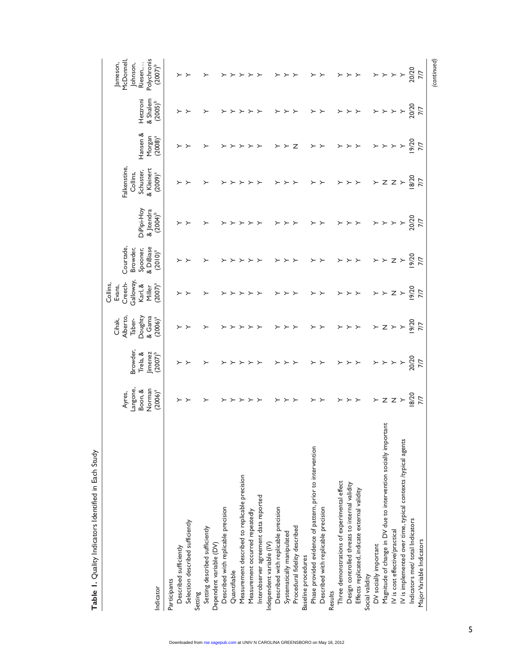| Indicator                                                        | Langone,<br>Norman<br>Boon, &<br>$(2006)^{a}$<br>Ayres, | Browder,<br>$(2007)^{b}$<br>Trela, &<br>limenez | Alberto,<br>Doughty<br>& Gama<br>$(2006)^{a}$<br>Taber-<br>Cihak, | Galloway,<br>Creech-<br>$(2007)^{a}$<br>Collins,<br>Karl, &<br>Evans,<br>Miller | Courtade,<br>& DiBiase<br>Browder,<br>Spooner,<br>$(2010)^{a}$ | DiPipi-Hoy<br>& litendra<br>$(2004)^{b}$ | <b>Falkenstine</b><br>& Kleinert<br>Schuster,<br>Collins,<br>$(2009)^{a}$ | Hansen &<br>Morgan<br>$(2008)^{a}$ | & Shalem<br>Hetzroni<br>$(2005)^b$ | Polychronis<br>McDonnell<br>Riesen,<br>Jameson,<br>Johnson,<br>$(2007)^b$ |
|------------------------------------------------------------------|---------------------------------------------------------|-------------------------------------------------|-------------------------------------------------------------------|---------------------------------------------------------------------------------|----------------------------------------------------------------|------------------------------------------|---------------------------------------------------------------------------|------------------------------------|------------------------------------|---------------------------------------------------------------------------|
| Participants                                                     |                                                         |                                                 |                                                                   |                                                                                 |                                                                |                                          |                                                                           |                                    |                                    |                                                                           |
| Described sufficiently                                           |                                                         | ≻                                               |                                                                   |                                                                                 |                                                                | ≻                                        | ≻                                                                         |                                    | ≻                                  | ≻                                                                         |
| Selection described sufficiently                                 | ≻                                                       | ≻                                               | ≻ ≻                                                               | ≻                                                                               | ≻                                                              | ≻                                        | ≻                                                                         | ≻                                  | ≻                                  | ≻                                                                         |
| Setting                                                          |                                                         |                                                 |                                                                   |                                                                                 |                                                                |                                          |                                                                           |                                    |                                    |                                                                           |
| Setting described sufficiently                                   | ≻                                                       | ≻                                               | ≻                                                                 |                                                                                 | ≻                                                              | ≻                                        | ≻                                                                         | ≻                                  | ≻                                  | ≻                                                                         |
| Dependent variable (DV)                                          |                                                         |                                                 |                                                                   |                                                                                 |                                                                |                                          |                                                                           |                                    |                                    |                                                                           |
| Described with replicable precision                              |                                                         |                                                 | ≻                                                                 |                                                                                 |                                                                |                                          | ≻                                                                         |                                    | ≻                                  |                                                                           |
| Quantifiable                                                     |                                                         |                                                 | ≻                                                                 |                                                                                 |                                                                |                                          | ≻                                                                         |                                    | ≻                                  |                                                                           |
| Measurement described to replicable precision                    | ≻                                                       |                                                 | ≻                                                                 |                                                                                 |                                                                |                                          | ≻                                                                         |                                    | ≻                                  | ≻                                                                         |
| Measurement occurred repeatedly                                  | ≻                                                       |                                                 | ≻                                                                 |                                                                                 | ≻                                                              |                                          | ≻                                                                         |                                    | ≻                                  | ≻                                                                         |
| Interobserver agreement data reported                            | ≻                                                       | ≻                                               | ≻                                                                 |                                                                                 |                                                                |                                          | ≻                                                                         |                                    | ≻                                  | ≻                                                                         |
| Independent variable (IV)                                        |                                                         |                                                 |                                                                   |                                                                                 |                                                                |                                          |                                                                           |                                    |                                    |                                                                           |
| Described with replicable precision                              |                                                         |                                                 | ≻                                                                 |                                                                                 |                                                                |                                          | ≻                                                                         |                                    | ≻                                  | ≻                                                                         |
| Systematically manipulated                                       | ≻                                                       | ≻                                               | ≻                                                                 |                                                                                 | ≻                                                              |                                          | ≻                                                                         | ≻                                  | ≻                                  | ≻                                                                         |
| Procedural fidelity described                                    | ≻                                                       | ≻                                               | $\succ$                                                           |                                                                                 | ≻                                                              |                                          | ≻                                                                         | Z                                  | ≻                                  | ≻                                                                         |
| Baseline procedures                                              |                                                         |                                                 |                                                                   |                                                                                 |                                                                |                                          |                                                                           |                                    |                                    |                                                                           |
| Phase provided evidence of pattern, prior to intervention        | ≻                                                       | ≻                                               | ≻                                                                 |                                                                                 | ≻                                                              |                                          | ≻                                                                         | ≻                                  | ≻                                  |                                                                           |
| Described with replicable precision                              | ≻                                                       | ≻                                               | ≻                                                                 |                                                                                 | ≻                                                              |                                          | ≻                                                                         | ≻                                  | ≻                                  |                                                                           |
| Results                                                          |                                                         |                                                 |                                                                   |                                                                                 |                                                                |                                          |                                                                           |                                    |                                    |                                                                           |
| Three demonstrations of experimental effect                      |                                                         |                                                 |                                                                   |                                                                                 |                                                                |                                          |                                                                           |                                    |                                    |                                                                           |
| Design controlled threats to internal validity                   |                                                         | ≻                                               | ≻                                                                 |                                                                                 | ≻                                                              | ≻                                        | ≻                                                                         | ≻                                  | ≻                                  | ≻                                                                         |
| Effects replicated, indicate external validity                   | ≻                                                       | $\rightarrow$                                   | $\succ$                                                           | ≻                                                                               | ≻                                                              | ≻                                        | ≻                                                                         | ≻                                  | ≻                                  | ≻                                                                         |
| Social validity                                                  |                                                         |                                                 |                                                                   |                                                                                 |                                                                |                                          |                                                                           |                                    |                                    |                                                                           |
| DV socially important                                            | ≻                                                       | ≻                                               | ≻                                                                 | ≻                                                                               | ≻                                                              | ≻                                        | ≻                                                                         | ≻                                  | ≻                                  | ≻                                                                         |
| Magnitude of change in DV due to intervention socially important | $\mathsf{z}$                                            | $\succ$                                         | z                                                                 | ≻                                                                               | $\succ$                                                        | ≻                                        | Z                                                                         | $\succ$                            | $\succ$                            | $\rightarrow$                                                             |
| IV is cost effective/practical                                   | $\mathsf{z}$                                            | $\succ$                                         | $\succ$                                                           | Z                                                                               | Z                                                              | $\succ$                                  | Z                                                                         | $\succ$                            | $\succ$                            | $\succ$                                                                   |
| IV is implemented over time, typical contexts /typical agents    | $\succ$                                                 | $\succ$                                         | $\leftthreetimes$                                                 | $\succ$                                                                         | $\succ$                                                        | $\leftthreetimes$                        | $\succ$                                                                   | $\succ$                            | $\succ$                            | $\succ$                                                                   |
| Indicators met/ total Indicators                                 | 18/20                                                   | 20/20                                           | 19/20                                                             | 19/20                                                                           | 19/20                                                          | 20/20<br>7/7                             | 8/20                                                                      | 19/20                              | 20/20                              | 20/20                                                                     |
| Major Variable Indicators                                        | 7/7                                                     | 77                                              | 7/7                                                               | 7/7                                                                             | 7/7                                                            |                                          | 7/7                                                                       | 7/7                                | 7/7                                | 7/7                                                                       |
|                                                                  |                                                         |                                                 |                                                                   |                                                                                 |                                                                |                                          |                                                                           |                                    |                                    | (continued)                                                               |

Table 1. Quality Indicators Identified in Each Study **Table 1.** Quality Indicators Identified in Each Study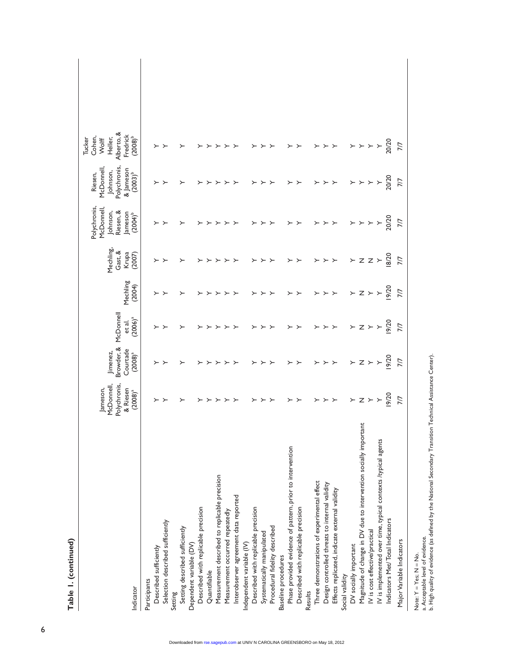| Indicator                                                        | Polychronis,<br>McDonnell,<br>& Riesen<br>Jameson,<br>$(2008)^{a}$ | Browder, &<br>Courtade<br>jimenez,<br>$(2008)^{a}$ | McDonnell<br>$(2006)^{a}$<br>et al. | Mechling<br>(2004) | Mechling,<br>Gast, &<br>Krupa<br>(2007) | McDonnell,<br>Riesen, &<br>Johnson,<br>lameson<br>$(2004)^{b}$ | Polychronis,<br>McDonnell<br>& Jameson<br>Johnson,<br>$(2003)^{b}$ | Alberto, &<br>Fredrick<br>$(2008)^{b}$<br>Heller,<br>Wolff |  |
|------------------------------------------------------------------|--------------------------------------------------------------------|----------------------------------------------------|-------------------------------------|--------------------|-----------------------------------------|----------------------------------------------------------------|--------------------------------------------------------------------|------------------------------------------------------------|--|
| Participants                                                     |                                                                    |                                                    |                                     |                    |                                         |                                                                |                                                                    |                                                            |  |
| Described sufficiently                                           |                                                                    |                                                    |                                     |                    |                                         |                                                                |                                                                    |                                                            |  |
| Selection described sufficiently                                 | ≻                                                                  |                                                    | ≻                                   | ≻                  |                                         |                                                                | ≻                                                                  |                                                            |  |
|                                                                  |                                                                    |                                                    |                                     |                    |                                         |                                                                |                                                                    |                                                            |  |
| Setting described sufficiently                                   | ≻                                                                  | ≻                                                  | ≻                                   | ≻                  | ≻                                       | ≻                                                              | ≻                                                                  | ≻                                                          |  |
| Dependent variable (DV)                                          |                                                                    |                                                    |                                     |                    |                                         |                                                                |                                                                    |                                                            |  |
| Described with replicable precision                              |                                                                    |                                                    |                                     |                    |                                         |                                                                | ≻                                                                  |                                                            |  |
| Quantifiable                                                     |                                                                    |                                                    |                                     |                    |                                         |                                                                | ≻                                                                  |                                                            |  |
| Measurement described to replicable precision                    |                                                                    |                                                    |                                     | ≻                  |                                         |                                                                | ≻                                                                  |                                                            |  |
| Measurement occurred repeatedly                                  | ≻                                                                  |                                                    |                                     |                    |                                         |                                                                | ≻                                                                  |                                                            |  |
| Interobserver agreement data reported                            | ≻                                                                  |                                                    | ≻                                   | ≻                  |                                         | ≻                                                              | ≻                                                                  |                                                            |  |
| Independent variable (IV)                                        |                                                                    |                                                    |                                     |                    |                                         |                                                                |                                                                    |                                                            |  |
| Described with replicable precision                              | ≻                                                                  |                                                    |                                     | ≻                  |                                         |                                                                | ≻                                                                  |                                                            |  |
| Systematically manipulated                                       | ≻                                                                  |                                                    |                                     | ≻                  |                                         | ≻                                                              | ≻                                                                  |                                                            |  |
| Procedural fidelity described                                    | ≻                                                                  | ≻                                                  | ≻                                   | ≻                  |                                         | ≻                                                              | ≻                                                                  |                                                            |  |
| Baseline procedures                                              |                                                                    |                                                    |                                     |                    |                                         |                                                                |                                                                    |                                                            |  |
| Phase provided evidence of pattern, prior to intervention        | ≻                                                                  |                                                    |                                     | ≻                  |                                         | ≻                                                              | ≻                                                                  |                                                            |  |
| Described with replicable precision                              | ≻                                                                  |                                                    |                                     | ≻                  |                                         | ≻                                                              | ≻                                                                  |                                                            |  |
|                                                                  |                                                                    |                                                    |                                     |                    |                                         |                                                                |                                                                    |                                                            |  |
| Three demonstrations of experimental effect                      |                                                                    |                                                    |                                     |                    |                                         |                                                                |                                                                    |                                                            |  |
| Design controlled threats to internal validity                   |                                                                    |                                                    | ≻                                   | ≻                  |                                         | ≻                                                              | ≻                                                                  |                                                            |  |
| Effects replicated, indicate external validity                   | ≻                                                                  | ≻                                                  | ≻                                   | $\succ$            | ≻                                       | ≻                                                              | $\succ$                                                            | ≻                                                          |  |
| Social validity                                                  |                                                                    |                                                    |                                     |                    |                                         |                                                                |                                                                    |                                                            |  |
| DV socially important                                            | $\succ$                                                            | ≻                                                  | ≻                                   | ≻                  | ≻                                       | ≻                                                              | ≻                                                                  | ≻                                                          |  |
| Magnitude of change in DV due to intervention socially important | $z \succ$                                                          | $Z \succ$                                          | Z >                                 | $Z \succ$          |                                         | ≻                                                              | ≻                                                                  | $\succ$                                                    |  |
| IV is cost effective/practical                                   |                                                                    |                                                    |                                     |                    | $Z$ $Z$ $\succ$                         | $\succ$                                                        | $\succ$                                                            | $\overline{\phantom{a}}$                                   |  |
| IV is implemented over time, typical contexts /typical agents    | $\left. \right.$                                                   | $\left. \right.$                                   | $\left. \right.$                    | $\left. \right.$   |                                         | $\leftthreetimes$                                              | $\leftthreetimes$                                                  | $\left. \right.$                                           |  |
| Indicators Met/Total Indicators                                  | 9/20                                                               | 19/20                                              | 19/20                               | 9/20               | 18/20                                   | 20/20                                                          | 20/20                                                              | 20/20                                                      |  |
| Major Variable Indicators                                        | 7/7                                                                | 7/7                                                | 7/7                                 | 7/7                | 7/7                                     | 7/7                                                            | 7/7                                                                | 7/7                                                        |  |

Table 1. (continued) **Table 1. (continued)**

 $Note: Y = Yes; N = No.$ 

a. Acceptable level of evidence.

Note: Y = Yes; N = No.<br>a. Acceptable level of evidence.<br>b. High quality of evidence (as defined by the National Secondary Transition Technical Assistance Center). b. High quality of evidence (as defined by the National Secondary Transition Technical Assistance Center).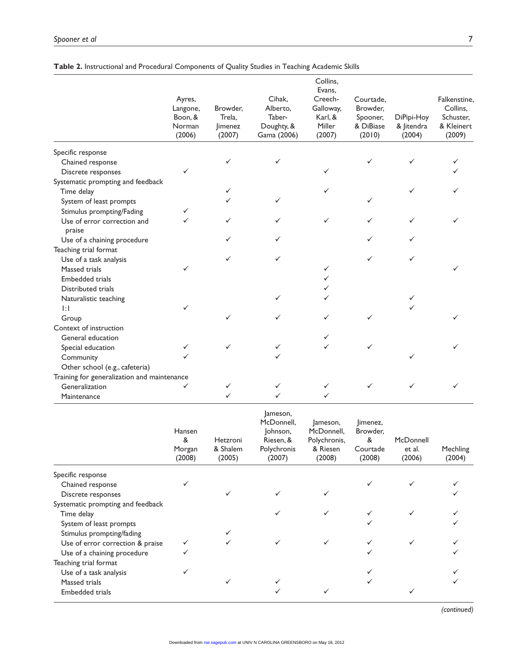|                                             | Ayres,<br>Langone,<br>Boon, &<br>Norman<br>(2006) | Browder.<br>Trela,<br>limenez<br>(2007) | Cihak,<br>Alberto,<br>Taber-<br>Doughty, &<br>Gama (2006) | Collins,<br>Evans,<br>Creech-<br>Galloway,<br>Karl, &<br>Miller<br>(2007) | Courtade,<br>Browder.<br>Spooner,<br>& DiBiase<br>(2010) | DiPipi-Hoy<br>& Jitendra<br>(2004) | Falkenstine,<br>Collins.<br>Schuster,<br>& Kleinert<br>(2009) |
|---------------------------------------------|---------------------------------------------------|-----------------------------------------|-----------------------------------------------------------|---------------------------------------------------------------------------|----------------------------------------------------------|------------------------------------|---------------------------------------------------------------|
| Specific response                           |                                                   |                                         |                                                           |                                                                           |                                                          |                                    |                                                               |
| Chained response                            |                                                   |                                         |                                                           |                                                                           |                                                          |                                    |                                                               |
| Discrete responses                          | ✓                                                 |                                         |                                                           | ✓                                                                         |                                                          |                                    |                                                               |
| Systematic prompting and feedback           |                                                   |                                         |                                                           |                                                                           |                                                          |                                    |                                                               |
| Time delay                                  |                                                   | ✓                                       |                                                           | ✓                                                                         |                                                          |                                    |                                                               |
| System of least prompts                     |                                                   |                                         |                                                           |                                                                           |                                                          |                                    |                                                               |
| Stimulus prompting/Fading                   |                                                   |                                         |                                                           |                                                                           |                                                          |                                    |                                                               |
| Use of error correction and<br>praise       |                                                   |                                         |                                                           | ✓                                                                         | ✓                                                        |                                    |                                                               |
| Use of a chaining procedure                 |                                                   |                                         |                                                           |                                                                           |                                                          |                                    |                                                               |
| Teaching trial format                       |                                                   |                                         |                                                           |                                                                           |                                                          |                                    |                                                               |
| Use of a task analysis                      |                                                   | ✓                                       |                                                           |                                                                           | ✓                                                        |                                    |                                                               |
| Massed trials                               |                                                   |                                         |                                                           | ✓                                                                         |                                                          |                                    |                                                               |
| <b>Embedded trials</b>                      |                                                   |                                         |                                                           | ✓                                                                         |                                                          |                                    |                                                               |
| Distributed trials                          |                                                   |                                         |                                                           |                                                                           |                                                          |                                    |                                                               |
| Naturalistic teaching                       |                                                   |                                         |                                                           |                                                                           |                                                          |                                    |                                                               |
| $\vert \cdot \vert$                         |                                                   |                                         |                                                           |                                                                           |                                                          |                                    |                                                               |
| Group                                       |                                                   |                                         |                                                           |                                                                           |                                                          |                                    |                                                               |
| Context of instruction                      |                                                   |                                         |                                                           |                                                                           |                                                          |                                    |                                                               |
| General education                           |                                                   |                                         |                                                           | ✓                                                                         |                                                          |                                    |                                                               |
| Special education                           |                                                   | ✓                                       |                                                           | ✓                                                                         | ✓                                                        |                                    |                                                               |
| Community                                   |                                                   |                                         |                                                           |                                                                           |                                                          |                                    |                                                               |
| Other school (e.g., cafeteria)              |                                                   |                                         |                                                           |                                                                           |                                                          |                                    |                                                               |
| Training for generalization and maintenance |                                                   |                                         |                                                           |                                                                           |                                                          |                                    |                                                               |
| Generalization                              |                                                   | ✓                                       |                                                           | ✓                                                                         |                                                          |                                    |                                                               |
| Maintenance                                 |                                                   |                                         |                                                           |                                                                           |                                                          |                                    |                                                               |

| Table 2. Instructional and Procedural Components of Quality Studies in Teaching Academic Skills |  |  |  |
|-------------------------------------------------------------------------------------------------|--|--|--|
|-------------------------------------------------------------------------------------------------|--|--|--|

|                                   | Hansen<br>&<br>Morgan<br>(2008) | Hetzroni<br>& Shalem<br>(2005) | Jameson,<br>McDonnell,<br>Johnson,<br>Riesen, &<br>Polychronis<br>(2007) | ameson,<br>McDonnell,<br>Polychronis,<br>& Riesen<br>(2008) | limenez,<br>Browder,<br>&<br>Courtade<br>(2008) | McDonnell<br>et al.<br>(2006) | Mechling<br>(2004) |
|-----------------------------------|---------------------------------|--------------------------------|--------------------------------------------------------------------------|-------------------------------------------------------------|-------------------------------------------------|-------------------------------|--------------------|
| Specific response                 |                                 |                                |                                                                          |                                                             |                                                 |                               |                    |
| Chained response                  |                                 |                                |                                                                          |                                                             |                                                 |                               |                    |
| Discrete responses                |                                 |                                |                                                                          |                                                             |                                                 |                               |                    |
| Systematic prompting and feedback |                                 |                                |                                                                          |                                                             |                                                 |                               |                    |
| Time delay                        |                                 |                                |                                                                          |                                                             |                                                 |                               |                    |
| System of least prompts           |                                 |                                |                                                                          |                                                             |                                                 |                               |                    |
| Stimulus prompting/fading         |                                 |                                |                                                                          |                                                             |                                                 |                               |                    |
| Use of error correction & praise  |                                 |                                |                                                                          | ✓                                                           |                                                 |                               |                    |
| Use of a chaining procedure       |                                 |                                |                                                                          |                                                             |                                                 |                               |                    |
| Teaching trial format             |                                 |                                |                                                                          |                                                             |                                                 |                               |                    |
| Use of a task analysis            |                                 |                                |                                                                          |                                                             |                                                 |                               |                    |
| Massed trials                     |                                 |                                |                                                                          |                                                             |                                                 |                               |                    |
| Embedded trials                   |                                 |                                |                                                                          |                                                             |                                                 |                               |                    |

*(continued)*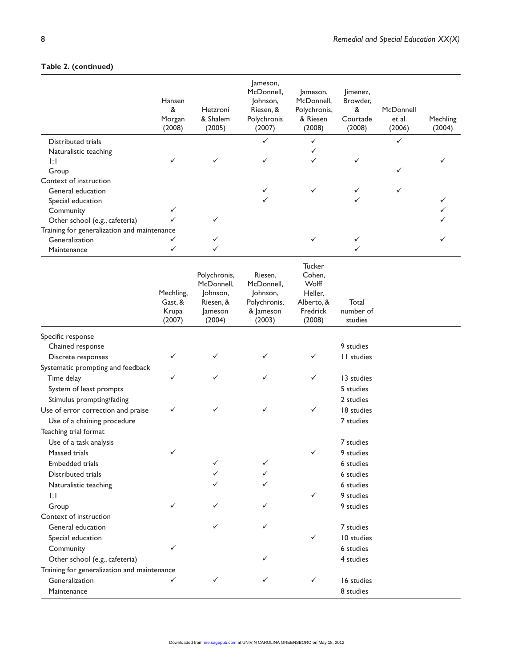|                                             | Hansen<br>&<br>Morgan<br>(2008)         | Hetzroni<br>& Shalem<br>(2005)                                           | Jameson,<br>McDonnell,<br>Johnson,<br>Riesen, &<br>Polychronis<br>(2007) | Jameson,<br>McDonnell,<br>Polychronis,<br>& Riesen<br>(2008)             | Jimenez,<br>Browder,<br>&<br>Courtade<br>(2008) | McDonnell<br>et al.<br>(2006) | Mechling<br>(2004) |
|---------------------------------------------|-----------------------------------------|--------------------------------------------------------------------------|--------------------------------------------------------------------------|--------------------------------------------------------------------------|-------------------------------------------------|-------------------------------|--------------------|
| Distributed trials                          |                                         |                                                                          | ✓                                                                        | $\checkmark$                                                             |                                                 | $\checkmark$                  |                    |
| Naturalistic teaching                       |                                         |                                                                          |                                                                          | ✓                                                                        |                                                 |                               |                    |
| $  \cdot  $                                 | ✓                                       | ✓                                                                        | ✓                                                                        | ✓                                                                        | ✓                                               |                               | ✓                  |
| Group                                       |                                         |                                                                          |                                                                          |                                                                          |                                                 | ✓                             |                    |
| Context of instruction                      |                                         |                                                                          |                                                                          |                                                                          |                                                 |                               |                    |
| General education                           |                                         |                                                                          | ✓                                                                        | ✓                                                                        | ✓                                               | ✓                             |                    |
| Special education                           |                                         |                                                                          |                                                                          |                                                                          |                                                 |                               |                    |
| Community                                   | ✓                                       |                                                                          |                                                                          |                                                                          |                                                 |                               |                    |
| Other school (e.g., cafeteria)              | ✓                                       | ✓                                                                        |                                                                          |                                                                          |                                                 |                               |                    |
| Training for generalization and maintenance |                                         |                                                                          |                                                                          |                                                                          |                                                 |                               |                    |
| Generalization                              | ✓                                       | ✓                                                                        |                                                                          | $\checkmark$                                                             | ✓                                               |                               |                    |
| Maintenance                                 | $\checkmark$                            | ✓                                                                        |                                                                          |                                                                          | $\checkmark$                                    |                               |                    |
|                                             | Mechling,<br>Gast, &<br>Krupa<br>(2007) | Polychronis,<br>McDonnell,<br>Johnson,<br>Riesen, &<br>Jameson<br>(2004) | Riesen,<br>McDonnell,<br>Johnson,<br>Polychronis,<br>& Jameson<br>(2003) | Tucker<br>Cohen,<br>Wolff<br>Heller,<br>Alberto, &<br>Fredrick<br>(2008) | Total<br>number of<br>studies                   |                               |                    |
| Specific response                           |                                         |                                                                          |                                                                          |                                                                          |                                                 |                               |                    |
| Chained response                            |                                         |                                                                          |                                                                          |                                                                          | 9 studies                                       |                               |                    |
| Discrete responses                          | ✓                                       | ✓                                                                        | ✓                                                                        | ✓                                                                        | II studies                                      |                               |                    |
| Systematic prompting and feedback           |                                         |                                                                          |                                                                          |                                                                          |                                                 |                               |                    |
| Time delay                                  | ✓                                       | ✓                                                                        | ✓                                                                        | $\checkmark$                                                             | 13 studies                                      |                               |                    |
| System of least prompts                     |                                         |                                                                          |                                                                          |                                                                          | 5 studies                                       |                               |                    |
| Stimulus prompting/fading                   |                                         |                                                                          |                                                                          |                                                                          | 2 studies                                       |                               |                    |
| Use of error correction and praise          | ✓                                       | ✓                                                                        | ✓                                                                        | $\checkmark$                                                             | 18 studies                                      |                               |                    |
| Use of a chaining procedure                 |                                         |                                                                          |                                                                          |                                                                          | 7 studies                                       |                               |                    |
| Teaching trial format                       |                                         |                                                                          |                                                                          |                                                                          |                                                 |                               |                    |
|                                             |                                         |                                                                          |                                                                          |                                                                          | 7 studies                                       |                               |                    |
| Use of a task analysis                      |                                         |                                                                          |                                                                          | ✓                                                                        |                                                 |                               |                    |
| Massed trials                               | ✓                                       |                                                                          |                                                                          |                                                                          | 9 studies                                       |                               |                    |
| Embedded trials                             |                                         | ✓                                                                        | ✓                                                                        |                                                                          | 6 studies                                       |                               |                    |
| Distributed trials                          |                                         | ✓                                                                        |                                                                          |                                                                          | 6 studies                                       |                               |                    |
| Naturalistic teaching                       |                                         | ✓                                                                        | ✓                                                                        |                                                                          | 6 studies                                       |                               |                    |
| $\vert \cdot \vert$                         |                                         |                                                                          |                                                                          | ✓                                                                        | 9 studies                                       |                               |                    |
| Group                                       | ✓                                       | ✓                                                                        | ✓                                                                        |                                                                          | 9 studies                                       |                               |                    |
| Context of instruction                      |                                         |                                                                          |                                                                          |                                                                          |                                                 |                               |                    |
| General education                           |                                         | ✓                                                                        | ✓                                                                        |                                                                          | 7 studies                                       |                               |                    |
| Special education                           |                                         |                                                                          |                                                                          | $\checkmark$                                                             | 10 studies                                      |                               |                    |
| Community                                   | ✓                                       |                                                                          |                                                                          |                                                                          | 6 studies                                       |                               |                    |
| Other school (e.g., cafeteria)              |                                         |                                                                          |                                                                          |                                                                          | 4 studies                                       |                               |                    |
| Training for generalization and maintenance |                                         |                                                                          |                                                                          |                                                                          |                                                 |                               |                    |
| Generalization                              | ✓                                       | ✓                                                                        | ✓                                                                        | $\checkmark$                                                             | 16 studies                                      |                               |                    |
| Maintenance                                 |                                         |                                                                          |                                                                          |                                                                          | 8 studies                                       |                               |                    |

## **Table 2. (continued)**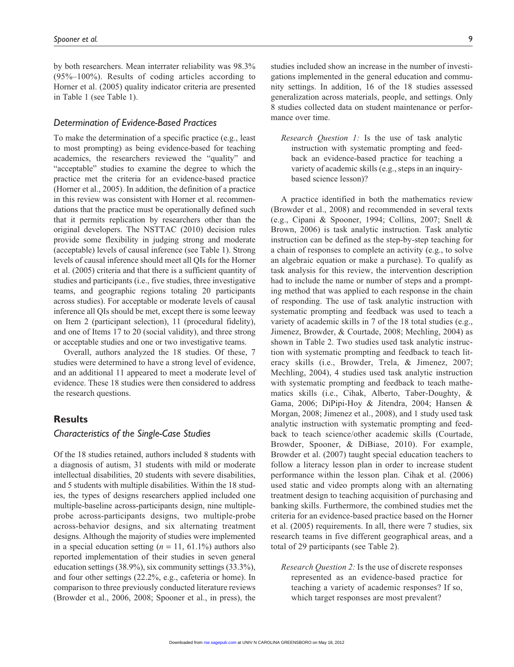by both researchers. Mean interrater reliability was 98.3% (95%–100%). Results of coding articles according to Horner et al. (2005) quality indicator criteria are presented in Table 1 (see Table 1).

## *Determination of Evidence-Based Practices*

To make the determination of a specific practice (e.g., least to most prompting) as being evidence-based for teaching academics, the researchers reviewed the "quality" and "acceptable" studies to examine the degree to which the practice met the criteria for an evidence-based practice (Horner et al., 2005). In addition, the definition of a practice in this review was consistent with Horner et al. recommendations that the practice must be operationally defined such that it permits replication by researchers other than the original developers. The NSTTAC (2010) decision rules provide some flexibility in judging strong and moderate (acceptable) levels of causal inference (see Table 1). Strong levels of causal inference should meet all QIs for the Horner et al. (2005) criteria and that there is a sufficient quantity of studies and participants (i.e., five studies, three investigative teams, and geographic regions totaling 20 participants across studies). For acceptable or moderate levels of causal inference all QIs should be met, except there is some leeway on Item 2 (participant selection), 11 (procedural fidelity), and one of Items 17 to 20 (social validity), and three strong or acceptable studies and one or two investigative teams.

Overall, authors analyzed the 18 studies. Of these, 7 studies were determined to have a strong level of evidence, and an additional 11 appeared to meet a moderate level of evidence. These 18 studies were then considered to address the research questions.

## **Results**

## *Characteristics of the Single-Case Studies*

Of the 18 studies retained, authors included 8 students with a diagnosis of autism, 31 students with mild or moderate intellectual disabilities, 20 students with severe disabilities, and 5 students with multiple disabilities. Within the 18 studies, the types of designs researchers applied included one multiple-baseline across-participants design, nine multipleprobe across-participants designs, two multiple-probe across-behavior designs, and six alternating treatment designs. Although the majority of studies were implemented in a special education setting  $(n = 11, 61.1\%)$  authors also reported implementation of their studies in seven general education settings (38.9%), six community settings (33.3%), and four other settings (22.2%, e.g., cafeteria or home). In comparison to three previously conducted literature reviews (Browder et al., 2006, 2008; Spooner et al., in press), the studies included show an increase in the number of investigations implemented in the general education and community settings. In addition, 16 of the 18 studies assessed generalization across materials, people, and settings. Only 8 studies collected data on student maintenance or performance over time.

*Research Question 1:* Is the use of task analytic instruction with systematic prompting and feedback an evidence-based practice for teaching a variety of academic skills (e.g., steps in an inquirybased science lesson)?

A practice identified in both the mathematics review (Browder et al., 2008) and recommended in several texts (e.g., Cipani & Spooner, 1994; Collins, 2007; Snell & Brown, 2006) is task analytic instruction. Task analytic instruction can be defined as the step-by-step teaching for a chain of responses to complete an activity (e.g., to solve an algebraic equation or make a purchase). To qualify as task analysis for this review, the intervention description had to include the name or number of steps and a prompting method that was applied to each response in the chain of responding. The use of task analytic instruction with systematic prompting and feedback was used to teach a variety of academic skills in 7 of the 18 total studies (e.g., Jimenez, Browder, & Courtade, 2008; Mechling, 2004) as shown in Table 2. Two studies used task analytic instruction with systematic prompting and feedback to teach literacy skills (i.e., Browder, Trela, & Jimenez, 2007; Mechling, 2004), 4 studies used task analytic instruction with systematic prompting and feedback to teach mathematics skills (i.e., Cihak, Alberto, Taber-Doughty, & Gama, 2006; DiPipi-Hoy & Jitendra, 2004; Hansen & Morgan, 2008; Jimenez et al., 2008), and 1 study used task analytic instruction with systematic prompting and feedback to teach science/other academic skills (Courtade, Browder, Spooner, & DiBiase, 2010). For example, Browder et al. (2007) taught special education teachers to follow a literacy lesson plan in order to increase student performance within the lesson plan. Cihak et al. (2006) used static and video prompts along with an alternating treatment design to teaching acquisition of purchasing and banking skills. Furthermore, the combined studies met the criteria for an evidence-based practice based on the Horner et al. (2005) requirements. In all, there were 7 studies, six research teams in five different geographical areas, and a total of 29 participants (see Table 2).

*Research Question 2:* Is the use of discrete responses represented as an evidence-based practice for teaching a variety of academic responses? If so, which target responses are most prevalent?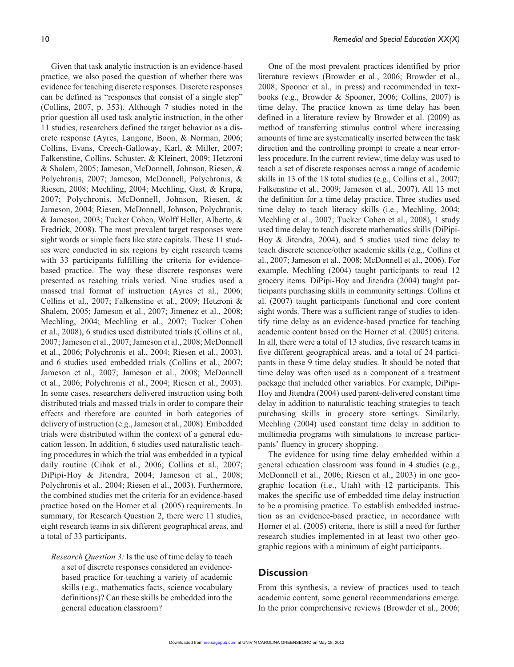Given that task analytic instruction is an evidence-based practice, we also posed the question of whether there was evidence for teaching discrete responses. Discrete responses can be defined as "responses that consist of a single step" (Collins, 2007, p. 353). Although 7 studies noted in the prior question all used task analytic instruction, in the other 11 studies, researchers defined the target behavior as a discrete response (Ayres, Langone, Boon, & Norman, 2006; Collins, Evans, Creech-Galloway, Karl, & Miller, 2007; Falkenstine, Collins, Schuster, & Kleinert, 2009; Hetzroni & Shalem, 2005; Jameson, McDonnell, Johnson, Riesen, & Polychronis, 2007; Jameson, McDonnell, Polychronis, & Riesen, 2008; Mechling, 2004; Mechling, Gast, & Krupa, 2007; Polychronis, McDonnell, Johnson, Riesen, & Jameson, 2004; Riesen, McDonnell, Johnson, Polychronis, & Jameson, 2003; Tucker Cohen, Wolff Heller, Alberto, & Fredrick, 2008). The most prevalent target responses were sight words or simple facts like state capitals. These 11 studies were conducted in six regions by eight research teams with 33 participants fulfilling the criteria for evidencebased practice. The way these discrete responses were presented as teaching trials varied. Nine studies used a massed trial format of instruction (Ayres et al., 2006; Collins et al., 2007; Falkenstine et al., 2009; Hetzroni & Shalem, 2005; Jameson et al., 2007; Jimenez et al., 2008; Mechling, 2004; Mechling et al., 2007; Tucker Cohen et al., 2008), 6 studies used distributed trials (Collins et al., 2007; Jameson et al., 2007; Jameson et al., 2008; McDonnell et al., 2006; Polychronis et al., 2004; Riesen et al., 2003), and 6 studies used embedded trials (Collins et al., 2007; Jameson et al., 2007; Jameson et al., 2008; McDonnell et al., 2006; Polychronis et al., 2004; Riesen et al., 2003). In some cases, researchers delivered instruction using both distributed trials and massed trials in order to compare their effects and therefore are counted in both categories of delivery of instruction (e.g., Jameson et al., 2008). Embedded trials were distributed within the context of a general education lesson. In addition, 6 studies used naturalistic teaching procedures in which the trial was embedded in a typical daily routine (Cihak et al., 2006; Collins et al., 2007; DiPipi-Hoy & Jitendra, 2004; Jameson et al., 2008; Polychronis et al., 2004; Riesen et al., 2003). Furthermore, the combined studies met the criteria for an evidence-based practice based on the Horner et al. (2005) requirements. In summary, for Research Question 2, there were 11 studies, eight research teams in six different geographical areas, and

*Research Question 3:* Is the use of time delay to teach a set of discrete responses considered an evidencebased practice for teaching a variety of academic skills (e.g., mathematics facts, science vocabulary definitions)? Can these skills be embedded into the general education classroom?

a total of 33 participants.

One of the most prevalent practices identified by prior literature reviews (Browder et al., 2006; Browder et al., 2008; Spooner et al., in press) and recommended in textbooks (e.g., Browder & Spooner, 2006; Collins, 2007) is time delay. The practice known as time delay has been defined in a literature review by Browder et al. (2009) as method of transferring stimulus control where increasing amounts of time are systematically inserted between the task direction and the controlling prompt to create a near errorless procedure. In the current review, time delay was used to teach a set of discrete responses across a range of academic skills in 13 of the 18 total studies (e.g., Collins et al., 2007; Falkenstine et al., 2009; Jameson et al., 2007). All 13 met the definition for a time delay practice. Three studies used time delay to teach literacy skills (i.e., Mechling, 2004; Mechling et al., 2007; Tucker Cohen et al., 2008), 1 study used time delay to teach discrete mathematics skills (DiPipi-Hoy & Jitendra, 2004), and 5 studies used time delay to teach discrete science/other academic skills (e.g., Collins et al., 2007; Jameson et al., 2008; McDonnell et al., 2006). For example, Mechling (2004) taught participants to read 12 grocery items. DiPipi-Hoy and Jitendra (2004) taught participants purchasing skills in community settings. Collins et al. (2007) taught participants functional and core content sight words. There was a sufficient range of studies to identify time delay as an evidence-based practice for teaching academic content based on the Horner et al. (2005) criteria. In all, there were a total of 13 studies, five research teams in five different geographical areas, and a total of 24 participants in these 9 time delay studies. It should be noted that time delay was often used as a component of a treatment package that included other variables. For example, DiPipi-Hoy and Jitendra (2004) used parent-delivered constant time delay in addition to naturalistic teaching strategies to teach purchasing skills in grocery store settings. Similarly, Mechling (2004) used constant time delay in addition to multimedia programs with simulations to increase participants' fluency in grocery shopping.

The evidence for using time delay embedded within a general education classroom was found in 4 studies (e.g., McDonnell et al., 2006; Riesen et al., 2003) in one geographic location (i.e., Utah) with 12 participants. This makes the specific use of embedded time delay instruction to be a promising practice. To establish embedded instruction as an evidence-based practice, in accordance with Horner et al. (2005) criteria, there is still a need for further research studies implemented in at least two other geographic regions with a minimum of eight participants.

## **Discussion**

From this synthesis, a review of practices used to teach academic content, some general recommendations emerge. In the prior comprehensive reviews (Browder et al., 2006;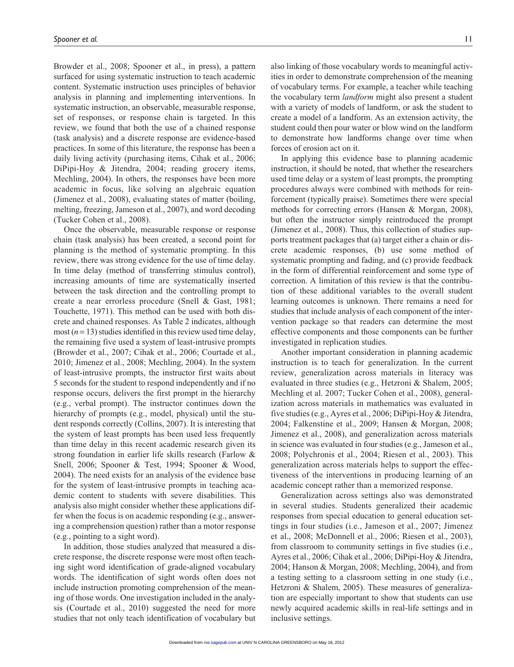Browder et al., 2008; Spooner et al., in press), a pattern surfaced for using systematic instruction to teach academic content. Systematic instruction uses principles of behavior analysis in planning and implementing interventions. In systematic instruction, an observable, measurable response, set of responses, or response chain is targeted. In this review, we found that both the use of a chained response (task analysis) and a discrete response are evidence-based practices. In some of this literature, the response has been a daily living activity (purchasing items, Cihak et al., 2006; DiPipi-Hoy & Jitendra, 2004; reading grocery items, Mechling, 2004). In others, the responses have been more academic in focus, like solving an algebraic equation (Jimenez et al., 2008), evaluating states of matter (boiling, melting, freezing, Jameson et al., 2007), and word decoding (Tucker Cohen et al., 2008).

Once the observable, measurable response or response chain (task analysis) has been created, a second point for planning is the method of systematic prompting. In this review, there was strong evidence for the use of time delay. In time delay (method of transferring stimulus control), increasing amounts of time are systematically inserted between the task direction and the controlling prompt to create a near errorless procedure (Snell & Gast, 1981; Touchette, 1971). This method can be used with both discrete and chained responses. As Table 2 indicates, although most  $(n = 13)$  studies identified in this review used time delay, the remaining five used a system of least-intrusive prompts (Browder et al., 2007; Cihak et al., 2006; Courtade et al., 2010; Jimenez et al., 2008; Mechling, 2004). In the system of least-intrusive prompts, the instructor first waits about 5 seconds for the student to respond independently and if no response occurs, delivers the first prompt in the hierarchy (e.g., verbal prompt). The instructor continues down the hierarchy of prompts (e.g., model, physical) until the student responds correctly (Collins, 2007). It is interesting that the system of least prompts has been used less frequently than time delay in this recent academic research given its strong foundation in earlier life skills research (Farlow & Snell, 2006; Spooner & Test, 1994; Spooner & Wood, 2004). The need exists for an analysis of the evidence base for the system of least-intrusive prompts in teaching academic content to students with severe disabilities. This analysis also might consider whether these applications differ when the focus is on academic responding (e.g., answering a comprehension question) rather than a motor response (e.g., pointing to a sight word).

In addition, those studies analyzed that measured a discrete response, the discrete response were most often teaching sight word identification of grade-aligned vocabulary words. The identification of sight words often does not include instruction promoting comprehension of the meaning of those words. One investigation included in the analysis (Courtade et al., 2010) suggested the need for more studies that not only teach identification of vocabulary but

also linking of those vocabulary words to meaningful activities in order to demonstrate comprehension of the meaning of vocabulary terms. For example, a teacher while teaching the vocabulary term *landform* might also present a student with a variety of models of landform, or ask the student to create a model of a landform. As an extension activity, the student could then pour water or blow wind on the landform to demonstrate how landforms change over time when forces of erosion act on it.

In applying this evidence base to planning academic instruction, it should be noted, that whether the researchers used time delay or a system of least prompts, the prompting procedures always were combined with methods for reinforcement (typically praise). Sometimes there were special methods for correcting errors (Hansen & Morgan, 2008), but often the instructor simply reintroduced the prompt (Jimenez et al., 2008). Thus, this collection of studies supports treatment packages that (a) target either a chain or discrete academic responses, (b) use some method of systematic prompting and fading, and (c) provide feedback in the form of differential reinforcement and some type of correction. A limitation of this review is that the contribution of these additional variables to the overall student learning outcomes is unknown. There remains a need for studies that include analysis of each component of the intervention package so that readers can determine the most effective components and those components can be further investigated in replication studies.

Another important consideration in planning academic instruction is to teach for generalization. In the current review, generalization across materials in literacy was evaluated in three studies (e.g., Hetzroni & Shalem, 2005; Mechling et al. 2007; Tucker Cohen et al., 2008), generalization across materials in mathematics was evaluated in five studies (e.g., Ayres et al., 2006; DiPipi-Hoy & Jitendra, 2004; Falkenstine et al., 2009; Hansen & Morgan, 2008; Jimenez et al., 2008), and generalization across materials in science was evaluated in four studies (e.g., Jameson et al., 2008; Polychronis et al., 2004; Riesen et al., 2003). This generalization across materials helps to support the effectiveness of the interventions in producing learning of an academic concept rather than a memorized response.

Generalization across settings also was demonstrated in several studies. Students generalized their academic responses from special education to general education settings in four studies (i.e., Jameson et al., 2007; Jimenez et al., 2008; McDonnell et al., 2006; Riesen et al., 2003), from classroom to community settings in five studies (i.e., Ayres et al., 2006; Cihak et al., 2006; DiPipi-Hoy & Jitendra, 2004; Hanson & Morgan, 2008; Mechling, 2004), and from a testing setting to a classroom setting in one study (i.e., Hetzroni & Shalem, 2005). These measures of generalization are especially important to show that students can use newly acquired academic skills in real-life settings and in inclusive settings.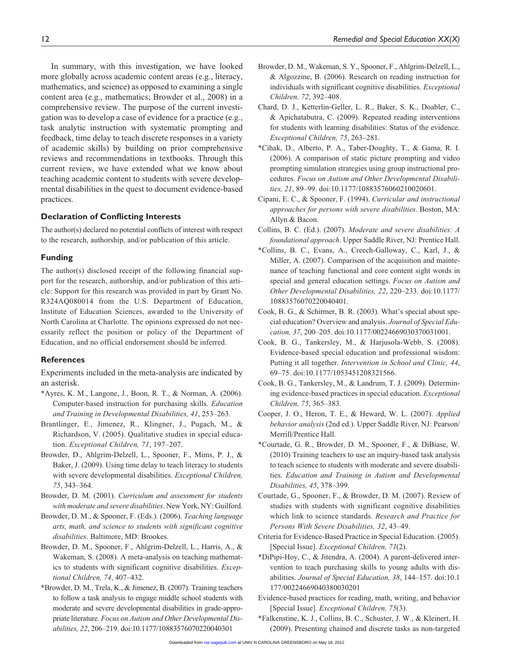In summary, with this investigation, we have looked more globally across academic content areas (e.g., literacy, mathematics, and science) as opposed to examining a single content area (e.g., mathematics; Browder et al., 2008) in a comprehensive review. The purpose of the current investigation was to develop a case of evidence for a practice (e.g., task analytic instruction with systematic prompting and feedback, time delay to teach discrete responses in a variety of academic skills) by building on prior comprehensive reviews and recommendations in textbooks. Through this current review, we have extended what we know about teaching academic content to students with severe developmental disabilities in the quest to document evidence-based practices.

### **Declaration of Conflicting Interests**

The author(s) declared no potential conflicts of interest with respect to the research, authorship, and/or publication of this article.

### **Funding**

The author(s) disclosed receipt of the following financial support for the research, authorship, and/or publication of this article: Support for this research was provided in part by Grant No. R324AQ080014 from the U.S. Department of Education, Institute of Education Sciences, awarded to the University of North Carolina at Charlotte. The opinions expressed do not necessarily reflect the position or policy of the Department of Education, and no official endorsement should be inferred.

## **References**

Experiments included in the meta-analysis are indicated by an asterisk.

- \*Ayres, K. M., Langone, J., Boon, R. T., & Norman, A. (2006). Computer-based instruction for purchasing skills. *Education and Training in Developmental Disabilities, 41*, 253–263.
- Brantlinger, E., Jimenez, R., Klingner, J., Pugach, M., & Richardson, V. (2005). Qualitative studies in special education. *Exceptional Children, 71*, 197–207.
- Browder, D., Ahlgrim-Delzell, L., Spooner, F., Mims, P. J., & Baker, J. (2009). Using time delay to teach literacy to students with severe developmental disabilities. *Exceptional Children, 75*, 343–364.
- Browder, D. M. (2001). *Curriculum and assessment for students with moderate and severe disabilities*. New York, NY: Guilford.
- Browder, D. M., & Spooner, F. (Eds.). (2006). *Teaching language arts, math, and science to students with significant cognitive disabilities*. Baltimore, MD: Brookes.
- Browder, D. M., Spooner, F., Ahlgrim-Delzell, L., Harris, A., & Wakeman, S. (2008). A meta-analysis on teaching mathematics to students with significant cognitive disabilities. *Exceptional Children, 74*, 407–432.
- \*Browder, D. M., Trela, K., & Jimenez, B. (2007). Training teachers to follow a task analysis to engage middle school students with moderate and severe developmental disabilities in grade-appropriate literature. *Focus on Autism and Other Developmental Disabilities, 22*, 206–219. doi:10.1177/10883576070220040301
- Browder, D. M., Wakeman, S. Y., Spooner, F., Ahlgrim-Delzell, L., & Algozzine, B. (2006). Research on reading instruction for individuals with significant cognitive disabilities. *Exceptional Children, 72*, 392–408.
- Chard, D. J., Ketterlin-Geller, L. R., Baker, S. K., Doabler, C., & Apichatabutra, C. (2009). Repeated reading interventions for students with learning disabilities: Status of the evidence. *Exceptional Children, 75*, 263–281.
- \*Cihak, D., Alberto, P. A., Taber-Doughty, T., & Gama, R. I. (2006). A comparison of static picture prompting and video prompting simulation strategies using group instructional procedures. *Focus on Autism and Other Developmental Disabilities, 21*, 89–99. doi:10.1177/10883576060210020601.
- Cipani, E. C., & Spooner, F. (1994). *Curricular and instructional approaches for persons with severe disabilities*. Boston, MA: Allyn & Bacon.
- Collins, B. C. (Ed.). (2007). *Moderate and severe disabilities: A foundational approach*. Upper Saddle River, NJ: Prentice Hall.
- \*Collins, B. C., Evans, A., Creech-Galloway, C., Karl, J., & Miller, A. (2007). Comparison of the acquisition and maintenance of teaching functional and core content sight words in special and general education settings. *Focus on Autism and Other Developmental Disabilities, 22*, 220–233. doi:10.1177/ 10883576070220040401.
- Cook, B. G., & Schirmer, B. R. (2003). What's special about special education? Overview and analysis. *Journal of Special Education, 37*, 200–205. doi:10.1177/00224669030370031001.
- Cook, B. G., Tankersley, M., & Harjusola-Webb, S. (2008). Evidence-based special education and professional wisdom: Putting it all together. *Intervention in School and Clinic, 44*, 69–75. doi:10.1177/1053451208321566.
- Cook, B. G., Tankersley, M., & Landrum, T. J. (2009). Determining evidence-based practices in special education. *Exceptional Children, 75*, 365–383.
- Cooper, J. O., Heron, T. E., & Heward, W. L. (2007). *Applied behavior analysis* (2nd ed.). Upper Saddle River, NJ: Pearson/ Merrill/Prentice Hall.
- \*Courtade, G. R., Browder, D. M., Spooner, F., & DiBiase, W. (2010) Training teachers to use an inquiry-based task analysis to teach science to students with moderate and severe disabilities. *Education and Training in Autism and Developmental Disabilities, 45*, 378–399.
- Courtade, G., Spooner, F., & Browder, D. M. (2007). Review of studies with students with significant cognitive disabilities which link to science standards. *Research and Practice for Persons With Severe Disabilities, 32*, 43–49.
- Criteria for Evidence-Based Practice in Special Education. (2005). [Special Issue]. *Exceptional Children, 71*(2).
- \*DiPipi-Hoy, C., & Jitendra, A. (2004). A parent-delivered intervention to teach purchasing skills to young adults with disabilities. *Journal of Special Education, 38*, 144–157. doi:10.1 177/00224669040380030201
- Evidence-based practices for reading, math, writing, and behavior [Special Issue]. *Exceptional Children, 75*(3).
- \*Falkenstine, K. J., Collins, B. C., Schuster, J. W., & Kleinert, H. (2009). Presenting chained and discrete tasks as non-targeted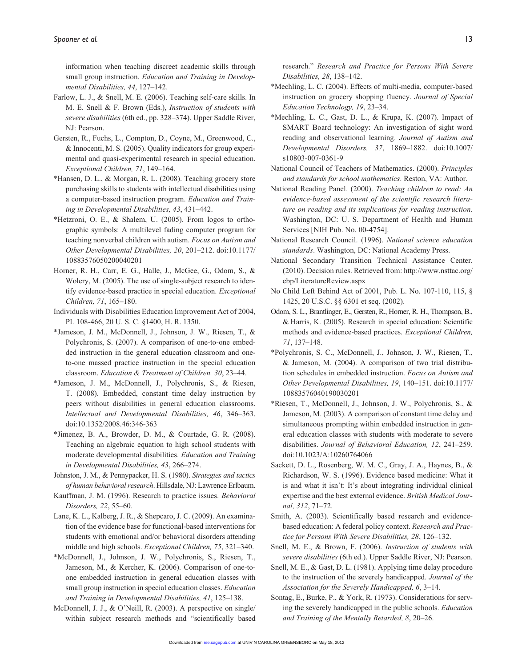information when teaching discreet academic skills through small group instruction. *Education and Training in Developmental Disabilities, 44*, 127–142.

- Farlow, L. J., & Snell, M. E. (2006). Teaching self-care skills. In M. E. Snell & F. Brown (Eds.), *Instruction of students with severe disabilities* (6th ed., pp. 328–374). Upper Saddle River, NJ: Pearson.
- Gersten, R., Fuchs, L., Compton, D., Coyne, M., Greenwood, C., & Innocenti, M. S. (2005). Quality indicators for group experimental and quasi-experimental research in special education. *Exceptional Children, 71*, 149–164.
- \*Hansen, D. L., & Morgan, R. L. (2008). Teaching grocery store purchasing skills to students with intellectual disabilities using a computer-based instruction program. *Education and Training in Developmental Disabilities, 43*, 431–442.
- \*Hetzroni, O. E., & Shalem, U. (2005). From logos to orthographic symbols: A multilevel fading computer program for teaching nonverbal children with autism. *Focus on Autism and Other Developmental Disabilities, 20*, 201–212. doi:10.1177/ 10883576050200040201
- Horner, R. H., Carr, E. G., Halle, J., McGee, G., Odom, S., & Wolery, M. (2005). The use of single-subject research to identify evidence-based practice in special education. *Exceptional Children, 71*, 165–180.
- Individuals with Disabilities Education Improvement Act of 2004, PL 108-466, 20 U. S. C. §1400, H. R. 1350.
- \*Jameson, J. M., McDonnell, J., Johnson, J. W., Riesen, T., & Polychronis, S. (2007). A comparison of one-to-one embedded instruction in the general education classroom and oneto-one massed practice instruction in the special education classroom. *Education & Treatment of Children, 30*, 23–44.
- \*Jameson, J. M., McDonnell, J., Polychronis, S., & Riesen, T. (2008). Embedded, constant time delay instruction by peers without disabilities in general education classrooms. *Intellectual and Developmental Disabilities, 46*, 346–363. doi:10.1352/2008.46:346-363
- \*Jimenez, B. A., Browder, D. M., & Courtade, G. R. (2008). Teaching an algebraic equation to high school students with moderate developmental disabilities. *Education and Training in Developmental Disabilities, 43*, 266–274.
- Johnston, J. M., & Pennypacker, H. S. (1980). *Strategies and tactics of human behavioral research*. Hillsdale, NJ: Lawrence Erlbaum.
- Kauffman, J. M. (1996). Research to practice issues. *Behavioral Disorders, 22*, 55–60.
- Lane, K. L., Kalberg, J. R., & Shepcaro, J. C. (2009). An examination of the evidence base for functional-based interventions for students with emotional and/or behavioral disorders attending middle and high schools. *Exceptional Children, 75*, 321–340.
- \*McDonnell, J., Johnson, J. W., Polychronis, S., Riesen, T., Jameson, M., & Kercher, K. (2006). Comparison of one-toone embedded instruction in general education classes with small group instruction in special education classes. *Education and Training in Developmental Disabilities, 41*, 125–138.
- McDonnell, J. J., & O'Neill, R. (2003). A perspective on single/ within subject research methods and "scientifically based

research." *Research and Practice for Persons With Severe Disabilities, 28*, 138–142.

- \*Mechling, L. C. (2004). Effects of multi-media, computer-based instruction on grocery shopping fluency. *Journal of Special Education Technology, 19*, 23–34.
- \*Mechling, L. C., Gast, D. L., & Krupa, K. (2007). Impact of SMART Board technology: An investigation of sight word reading and observational learning. *Journal of Autism and Developmental Disorders, 37*, 1869–1882. doi:10.1007/ s10803-007-0361-9
- National Council of Teachers of Mathematics. (2000). *Principles and standards for school mathematics*. Reston, VA: Author.
- National Reading Panel. (2000). *Teaching children to read: An evidence-based assessment of the scientific research literature on reading and its implications for reading instruction*. Washington, DC: U. S. Department of Health and Human Services [NIH Pub. No. 00-4754].
- National Research Council. (1996). *National science education standards*. Washington, DC: National Academy Press.
- National Secondary Transition Technical Assistance Center. (2010). Decision rules. Retrieved from: http://www.nsttac.org/ ebp/LiteratureReview.aspx
- No Child Left Behind Act of 2001, Pub. L. No. 107-110, 115, § 1425, 20 U.S.C. §§ 6301 et seq. (2002).
- Odom, S. L., Brantlinger, E., Gersten, R., Horner, R. H., Thompson, B., & Harris, K. (2005). Research in special education: Scientific methods and evidence-based practices. *Exceptional Children, 71*, 137–148.
- \*Polychronis, S. C., McDonnell, J., Johnson, J. W., Riesen, T., & Jameson, M. (2004). A comparison of two trial distribution schedules in embedded instruction. *Focus on Autism and Other Developmental Disabilities, 19*, 140–151. doi:10.1177/ 10883576040190030201
- \*Riesen, T., McDonnell, J., Johnson, J. W., Polychronis, S., & Jameson, M. (2003). A comparison of constant time delay and simultaneous prompting within embedded instruction in general education classes with students with moderate to severe disabilities. *Journal of Behavioral Education, 12*, 241–259. doi:10.1023/A:10260764066
- Sackett, D. L., Rosenberg, W. M. C., Gray, J. A., Haynes, B., & Richardson, W. S. (1996). Evidence based medicine: What it is and what it isn't: It's about integrating individual clinical expertise and the best external evidence. *British Medical Journal, 312*, 71–72.
- Smith, A. (2003). Scientifically based research and evidencebased education: A federal policy context. *Research and Practice for Persons With Severe Disabilities, 28*, 126–132.
- Snell, M. E., & Brown, F. (2006). *Instruction of students with severe disabilities* (6th ed.). Upper Saddle River, NJ: Pearson.
- Snell, M. E., & Gast, D. L. (1981). Applying time delay procedure to the instruction of the severely handicapped. *Journal of the Association for the Severely Handicapped, 6*, 3–14.
- Sontag, E., Burke, P., & York, R. (1973). Considerations for serving the severely handicapped in the public schools. *Education and Training of the Mentally Retarded, 8*, 20–26.